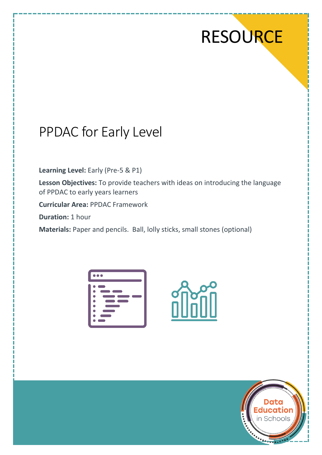# **RESOURCE**

# PPDAC for Early Level

**Learning Level:** Early (Pre-5 & P1)

**Lesson Objectives:** To provide teachers with ideas on introducing the language of PPDAC to early years learners

**Curricular Area:** PPDAC Framework

**Duration:** 1 hour

**Materials:** Paper and pencils. Ball, lolly sticks, small stones (optional)

|   | $\bullet\bullet\bullet$  |  |
|---|--------------------------|--|
|   | <b>Contract Contract</b> |  |
|   |                          |  |
|   |                          |  |
| 0 |                          |  |
| 0 |                          |  |
| O |                          |  |
| ٠ |                          |  |
|   |                          |  |



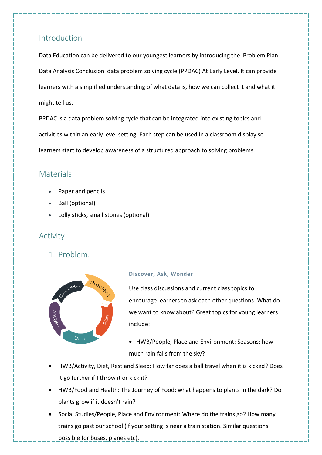### Introduction

Data Education can be delivered to our youngest learners by introducing the 'Problem Plan Data Analysis Conclusion' data problem solving cycle (PPDAC) At Early Level. It can provide learners with a simplified understanding of what data is, how we can collect it and what it might tell us.

PPDAC is a data problem solving cycle that can be integrated into existing topics and activities within an early level setting. Each step can be used in a classroom display so learners start to develop awareness of a structured approach to solving problems.

#### **Materials**

- Paper and pencils
- Ball (optional)
- Lolly sticks, small stones (optional)

# Activity

1. Problem.



#### **Discover, Ask, Wonder**

Use class discussions and current class topics to encourage learners to ask each other questions. What do we want to know about? Great topics for young learners include:

- HWB/People, Place and Environment: Seasons: how much rain falls from the sky?
- HWB/Activity, Diet, Rest and Sleep: How far does a ball travel when it is kicked? Does it go further if I throw it or kick it?
- HWB/Food and Health: The Journey of Food: what happens to plants in the dark? Do plants grow if it doesn't rain?
- Social Studies/People, Place and Environment: Where do the trains go? How many trains go past our school (if your setting is near a train station. Similar questions possible for buses, planes etc).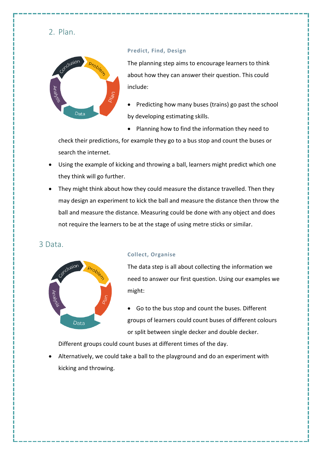2. Plan.



#### **Predict, Find, Design**

The planning step aims to encourage learners to think about how they can answer their question. This could include:

- Predicting how many buses (trains) go past the school by developing estimating skills.
- Planning how to find the information they need to

check their predictions, for example they go to a bus stop and count the buses or search the internet.

- Using the example of kicking and throwing a ball, learners might predict which one they think will go further.
- They might think about how they could measure the distance travelled. Then they may design an experiment to kick the ball and measure the distance then throw the ball and measure the distance. Measuring could be done with any object and does not require the learners to be at the stage of using metre sticks or similar.

#### 3 Data.



#### **Collect, Organise**

The data step is all about collecting the information we need to answer our first question. Using our examples we might:

• Go to the bus stop and count the buses. Different groups of learners could count buses of different colours or split between single decker and double decker.

Different groups could count buses at different times of the day.

• Alternatively, we could take a ball to the playground and do an experiment with kicking and throwing.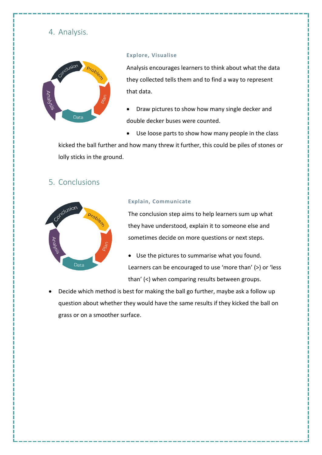# 4. Analysis.



#### **Explore, Visualise**

Analysis encourages learners to think about what the data they collected tells them and to find a way to represent that data.

- Draw pictures to show how many single decker and double decker buses were counted.
- Use loose parts to show how many people in the class

kicked the ball further and how many threw it further, this could be piles of stones or lolly sticks in the ground.

## 5. Conclusions



#### **Explain, Communicate**

The conclusion step aims to help learners sum up what they have understood, explain it to someone else and sometimes decide on more questions or next steps.

- Use the pictures to summarise what you found. Learners can be encouraged to use 'more than' (>) or 'less than' (<) when comparing results between groups.
- Decide which method is best for making the ball go further, maybe ask a follow up question about whether they would have the same results if they kicked the ball on grass or on a smoother surface.